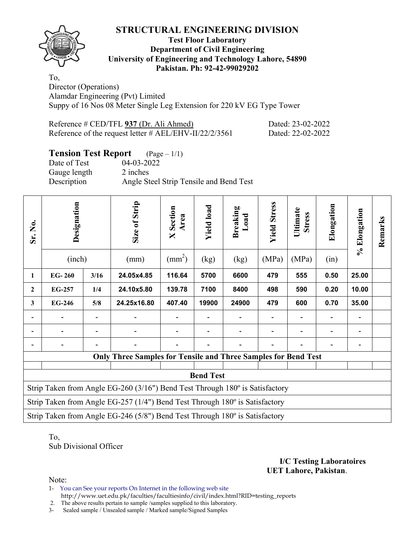## **STRUCTURAL ENGINEERING DIVISION**



#### **Test Floor Laboratory Department of Civil Engineering University of Engineering and Technology Lahore, 54890 Pakistan. Ph: 92-42-99029202**

To, Director (Operations) Alamdar Engineering (Pvt) Limited Suppy of 16 Nos 08 Meter Single Leg Extension for 220 kV EG Type Tower

| Reference # CED/TFL 937 (Dr. Ali Ahmed)                  | Dated: 23-02-2022 |
|----------------------------------------------------------|-------------------|
| Reference of the request letter # $AEL/EHV-II/22/2/3561$ | Dated: 22-02-2022 |

# **Tension Test Report** (Page – 1/1)<br>Date of Test 04-03-2022

Date of Test Gauge length 2 inches Description Angle Steel Strip Tensile and Bend Test

| Sr. No.      | Designation<br>(inch)                                                       |      | Size of Strip<br>(mm)                                                        | <b>X</b> Section<br>Area<br>$\text{(mm}^2)$ | <b>Yield load</b><br>(kg) | <b>Breaking</b><br>Load<br>(kg) | <b>Yield Stress</b><br>(MPa) | Ultimate<br><b>Stress</b><br>(MPa) | Elongation<br>(in) | % Elongation | Remarks |  |
|--------------|-----------------------------------------------------------------------------|------|------------------------------------------------------------------------------|---------------------------------------------|---------------------------|---------------------------------|------------------------------|------------------------------------|--------------------|--------------|---------|--|
| 1            | $EG-260$                                                                    | 3/16 | 24.05x4.85                                                                   | 116.64                                      | 5700                      | 6600                            | 479                          | 555                                | 0.50               | 25.00        |         |  |
| $\mathbf{2}$ | EG-257                                                                      | 1/4  | 24.10x5.80                                                                   | 139.78                                      | 7100                      | 8400                            | 498                          | 590                                | 0.20               | 10.00        |         |  |
| 3            | <b>EG-246</b>                                                               | 5/8  | 24.25x16.80                                                                  | 407.40                                      | 19900                     | 24900                           | 479                          | 600                                | 0.70               | 35.00        |         |  |
|              |                                                                             |      |                                                                              |                                             |                           |                                 |                              |                                    |                    |              |         |  |
|              |                                                                             |      |                                                                              |                                             |                           |                                 |                              |                                    |                    | -            |         |  |
|              |                                                                             |      |                                                                              |                                             |                           |                                 |                              |                                    |                    |              |         |  |
|              |                                                                             |      | <b>Only Three Samples for Tensile and Three Samples for Bend Test</b>        |                                             |                           |                                 |                              |                                    |                    |              |         |  |
|              | <b>Bend Test</b>                                                            |      |                                                                              |                                             |                           |                                 |                              |                                    |                    |              |         |  |
|              |                                                                             |      | Strip Taken from Angle EG-260 (3/16") Bend Test Through 180° is Satisfactory |                                             |                           |                                 |                              |                                    |                    |              |         |  |
|              | Strip Taken from Angle EG-257 (1/4") Bend Test Through 180° is Satisfactory |      |                                                                              |                                             |                           |                                 |                              |                                    |                    |              |         |  |
|              | Strip Taken from Angle EG-246 (5/8") Bend Test Through 180° is Satisfactory |      |                                                                              |                                             |                           |                                 |                              |                                    |                    |              |         |  |

To, Sub Divisional Officer

> **I/C Testing Laboratoires UET Lahore, Pakistan**.

Note:

1- You can See your reports On Internet in the following web site http://www.uet.edu.pk/faculties/facultiesinfo/civil/index.html?RID=testing\_reports

2. The above results pertain to sample /samples supplied to this laboratory.

3- Sealed sample / Unsealed sample / Marked sample/Signed Samples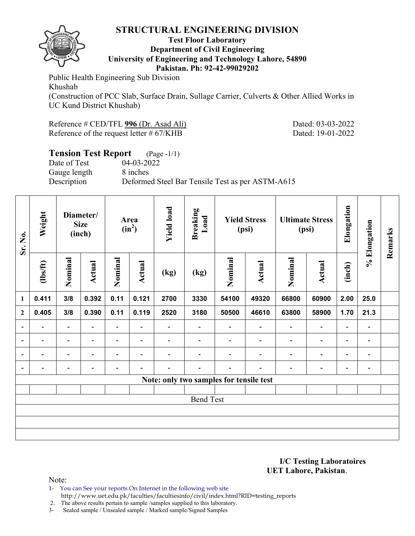### **STRUCTURAL ENGINEERING DIVISION**



#### **Test Floor Laboratory Department of Civil Engineering University of Engineering and Technology Lahore, 54890 Pakistan. Ph: 92-42-99029202**

Public Health Engineering Sub Division Khushab

(Construction of PCC Slab, Surface Drain, Sullage Carrier, Culverts & Other Allied Works in UC Kund District Khushab)

| Reference # CED/TFL 996 (Dr. Asad Ali)      | Dated: 03-03-2022 |
|---------------------------------------------|-------------------|
| Reference of the request letter $\# 67/KHB$ | Dated: 19-01-2022 |

# **Tension Test Report** (Page -1/1)<br>Date of Test 04-03-2022

Date of Test Gauge length 8 inches

Description Deformed Steel Bar Tensile Test as per ASTM-A615

| Sr. No.                  | Weight                   |                          | Diameter/<br><b>Size</b><br>(inch) |                          | Area<br>$(in^2)$         | <b>Yield load</b>        | <b>Breaking</b><br>Load                 |                          | <b>Yield Stress</b><br>(psi) | <b>Ultimate Stress</b><br>(psi) |                          | Elongation               |                              | Remarks |
|--------------------------|--------------------------|--------------------------|------------------------------------|--------------------------|--------------------------|--------------------------|-----------------------------------------|--------------------------|------------------------------|---------------------------------|--------------------------|--------------------------|------------------------------|---------|
|                          | $\frac{2}{10}$           | Nominal                  | <b>Actual</b>                      | Nominal                  | Actual                   | (kg)                     | (kg)                                    | Nominal                  | Actual                       | Nominal                         | Actual                   | (inch)                   | % Elongation                 |         |
| $\mathbf{1}$             | 0.411                    | 3/8                      | 0.392                              | 0.11                     | 0.121                    | 2700                     | 3330                                    | 54100                    | 49320                        | 66800                           | 60900                    | 2.00                     | 25.0                         |         |
| $\overline{2}$           | 0.405                    | 3/8                      | 0.390                              | 0.11                     | 0.119                    | 2520                     | 3180                                    | 50500                    | 46610                        | 63800                           | 58900                    | 1.70                     | 21.3                         |         |
| $\overline{\phantom{a}}$ | $\overline{\phantom{0}}$ | $\blacksquare$           | $\overline{\phantom{0}}$           | $\blacksquare$           | $\blacksquare$           | $\overline{\phantom{0}}$ | $\overline{\phantom{0}}$                | $\overline{\phantom{0}}$ | $\overline{\phantom{0}}$     | $\overline{\phantom{a}}$        | $\overline{\phantom{a}}$ | $\overline{\phantom{a}}$ | $\blacksquare$               |         |
| $\blacksquare$           |                          | $\overline{\phantom{a}}$ |                                    | $\overline{\phantom{0}}$ | $\overline{\phantom{0}}$ |                          |                                         |                          |                              | $\overline{\phantom{a}}$        | $\overline{\phantom{a}}$ | $\blacksquare$           | $\qquad \qquad \blacksquare$ |         |
| $\overline{\phantom{a}}$ |                          | $\overline{\phantom{0}}$ |                                    |                          | $\overline{\phantom{0}}$ |                          |                                         |                          |                              |                                 | $\overline{\phantom{0}}$ | $\overline{\phantom{0}}$ | $\overline{\phantom{0}}$     |         |
| $\blacksquare$           | $\overline{a}$           | $\overline{\phantom{0}}$ | $\overline{\phantom{0}}$           | $\overline{\phantom{0}}$ | $\overline{\phantom{0}}$ | $\overline{\phantom{0}}$ | $\overline{\phantom{0}}$                | $\overline{\phantom{0}}$ | $\blacksquare$               | $\overline{\phantom{0}}$        | $\overline{\phantom{a}}$ | $\overline{\phantom{a}}$ | $\blacksquare$               |         |
|                          |                          |                          |                                    |                          |                          |                          | Note: only two samples for tensile test |                          |                              |                                 |                          |                          |                              |         |
|                          |                          |                          |                                    |                          |                          |                          |                                         |                          |                              |                                 |                          |                          |                              |         |
| <b>Bend Test</b>         |                          |                          |                                    |                          |                          |                          |                                         |                          |                              |                                 |                          |                          |                              |         |
|                          |                          |                          |                                    |                          |                          |                          |                                         |                          |                              |                                 |                          |                          |                              |         |
|                          |                          |                          |                                    |                          |                          |                          |                                         |                          |                              |                                 |                          |                          |                              |         |
|                          |                          |                          |                                    |                          |                          |                          |                                         |                          |                              |                                 |                          |                          |                              |         |

**I/C Testing Laboratoires UET Lahore, Pakistan**.

Note:

1- You can See your reports On Internet in the following web site http://www.uet.edu.pk/faculties/facultiesinfo/civil/index.html?RID=testing\_reports

2. The above results pertain to sample /samples supplied to this laboratory.

3- Sealed sample / Unsealed sample / Marked sample/Signed Samples